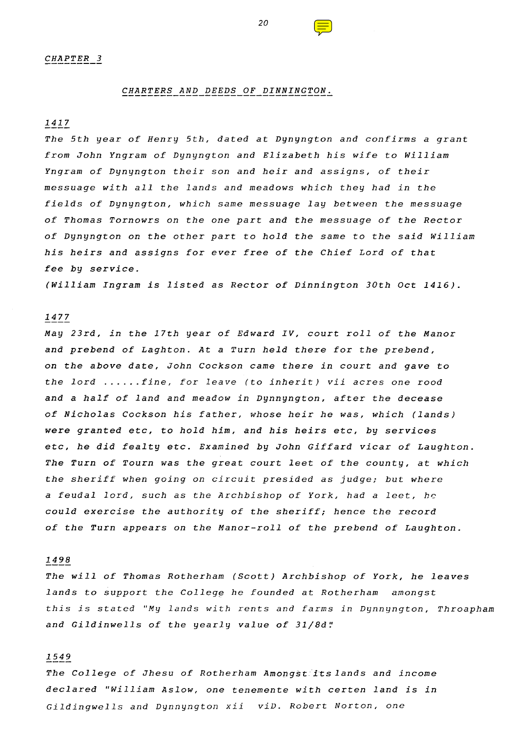### *CHARTERS AND DEEDS OF DINNINGTON.*

# 1417

*The 5th year of Henry 5th, dated at Dynyngton and confirms a grant from John Yngram of Dynyngton and Elizabeth his wife to William Yngram of Dynyngton their son and heir and assigns, of their messuage with all the lands and meadows which they had in the fields of Dynyngton, which same messuage lay between the messuage of Thomas Tornowrs on the one part and the messuage of the Rector of Dynyngton on the other part to hold the same to the said William his heirs and assigns for ever free of the Chief Lord of that fee by service.*

(William Ingram is listed as Rector of Dinnington 30th Oct 1416).

# 1477

*May 23rd, in the 17th year of Edward IV, court roll of the Manor and prebend of Laghton. At a Turn held there for the prebend, on the above date, John Cockson came there in court and gave to the lord ...... fine, for leave (to inherit) vii acres one rood and a half of land and meadow in Dynnyngton, after the decease of Nicholas Cockson his father, whose heir he was, which (lands) were granted etc, to hold him, and his heirs etc, by services etc, he did fealty etc. Examined by John Giffard vicar of Laughton. The Turn of Tourn was the great court leet of the county, at which the sheriff when going on circuit presided as judge; but where a feudal lord, such as the Archbishop of York, had a leet, he could exercise the authority of the sheriff; hence the record of the Turn appears on the Manor-roll of the prebend of Laughton.*

### 1498

*The will of Thomas Rotherham (Scott) Archbishop of York, he leaves lands to support the College he founded at Rotherham amongst this is stated "My lands with rents and farms in Dynnyngton, Throapham and Gildinwells of the yearly value of 31/8d.:*

## 1549

*The College of Jhesu of Rotherham Amongst its lands and income declared "William Aslow, one tenemente with certen land is in Gildingwells and Dynnyngton xii viD. Robert Norton, one*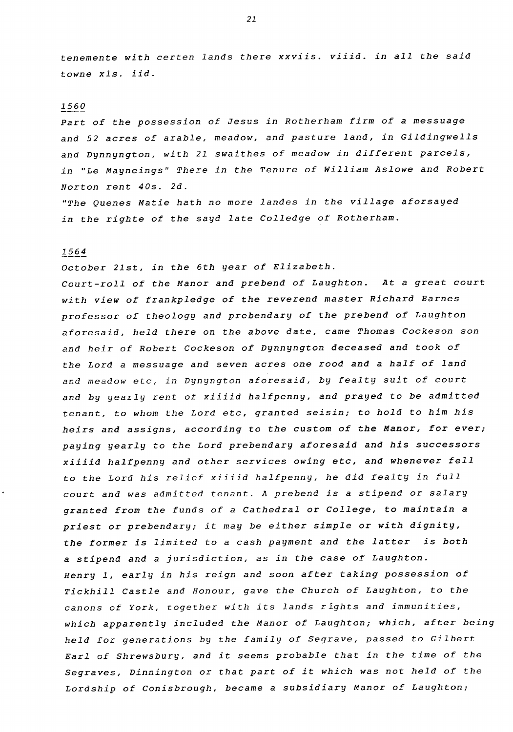*tenemente with certen lands there xxviis. viiid. in all the said towne xls. iid.*

# 1560

*Part of the possession of Jesus in Rotherham firm of a messuage and 52 acres of arable, meadow, and pasture land, in Gildingwells and Dynnyngton, with 21 swaithes of meadow in different parcels, in "Le Mayneings" There in the Tenure of William Aslowe and Robert Norton rent 40s. 2d.*

*"The Quenes Matie hath no more landes in the village aforsayed in the righte of the sayd late Colledge of Rotherham.*

#### 1564

October 21st, in the 6th year of Elizabeth.

*Court-roll of the Manor and prebend of Laughton. At a great court with view of frankpledge of the reverend master Richard Barnes professor of theology and prebendary of the prebend of Laughton aforesaid, held there on the above date, came Thomas Cockeson son and heir of Robert Cockeson of Dynnyngton deceased and took of the Lord a messuage and seven acres one rood and a half of land and meadow etc, in Dynyngton aforesaid, by fealty suit of court and by yearly rent of xiiiid halfpenny, and prayed to be admitted tenant, to whom the Lord etc, granted seisin; to hold to him his heirs and assigns, according to the custom of the Manor, for ever; paying yearly to the Lord prebendary aforesaid and his successors xiiiid halfpenny and other services owing etc, and whenever fell to the Lord his relief xiiiid halfpenny, he did fealty in full court and was admitted tenant. A prebend is a stipend or salary granted from the funds of a Cathedral or College, to maintain a priest or prebendary; it may be either simple or with dignity, the former is limited to a cash payment and the latter is both a stipend and a jurisdiction, as in the case of Laughton. Henry 1, early in his reign and soon after taking possession of Tickhill Castle and Honour, gave the Church of Laughton, to the canons of York, together with its lands rights and immunities, which apparently included the Manor of Laughton; which, after being held for generations by the family of Segrave, passed to Gilbert Earl of Shrewsbury, and it seems probable that in the time of the Segraves, Dinnington or that part of it which was not held of the Lordship of Conisbrough, became a subsidiary Manor of Laughton;*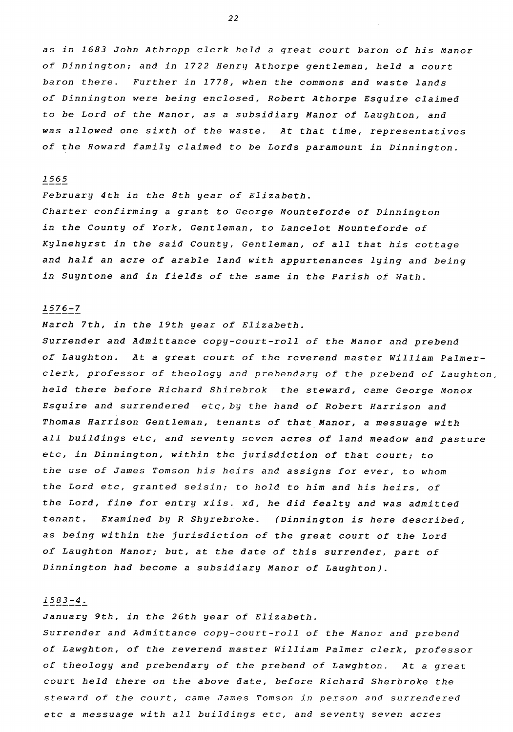*as in 1683 John Athropp clerk held a great court baron of his Manor of Dinnington; and in 1722 Henry Athorpe gentleman, held a court baron there. Further in 1778, when the commons and waste lands of Dinnington were being enclosed, Robert Athorpe Esquire claimed to be Lord of the Manor, as a subsidiary Manor of Laughton, and was allowed one sixth of the waste. At that time, representatives of the Howard family claimed to be Lords paramount in Dinnington.*

#### 1565

February 4th in the 8th year of Elizabeth. *Charter confirming a grant to George Mounteforde of Dinnington in the County of York, Gentleman, to Lancelot Mounteforde of Kylnehyrst in the said County, Gentleman, of all that his cottage and half an acre of arable land with appurtenances lying and being in Suyntone and in fields of the same in the Parish of Wath.*

# 1576-7

March 7th, in the 19th year of Elizabeth.

Surrender and Admittance copy-court-roll of the Manor and prebend *of Laughton. At a great court of the reverend master William Palmerclerk, professor of theology and prebendary of the prebend of Laughton, held there before Richard Shirebrok the steward, came George Monox Esquire and surrendered* etc, by *the hand of Robert Harrison and Thomas Harrison Gentleman, tenants of that Manor, a messuage with all buildings etc, and seventy seven acres of land meadow and pasture etc, in Dinnington, within the jurisdiction of that court; to the use of James Tomson his heirs and assigns for ever, to whom the Lord etc, granted seisin; to hold to him and his heirs, of the Lord, fine for entry xiis. xd, he did fealty and was admitted tenant. Examined by R Shyrebroke. (Dinnington is here described, as being within the jurisdiction of the great court of the Lord of Laughton Manor; but, at the date of this surrender, part of Dinnington had become a subsidiary Manor of Laughton).*

### 1583-4.

January 9th, in the 26th year of Elizabeth. *Surrender and Admittance copy-court-roll of the Manor and prebend of Lawghton, of the reverend master William Palmer clerk, professor of theology and prebendary of the prebend of Lawghton. At a great court held there on the above date, before Richard Sherbroke the steward of the court, came James Tomson in person and surrendered etc a messuage with all buildings etc, and seventy seven acres*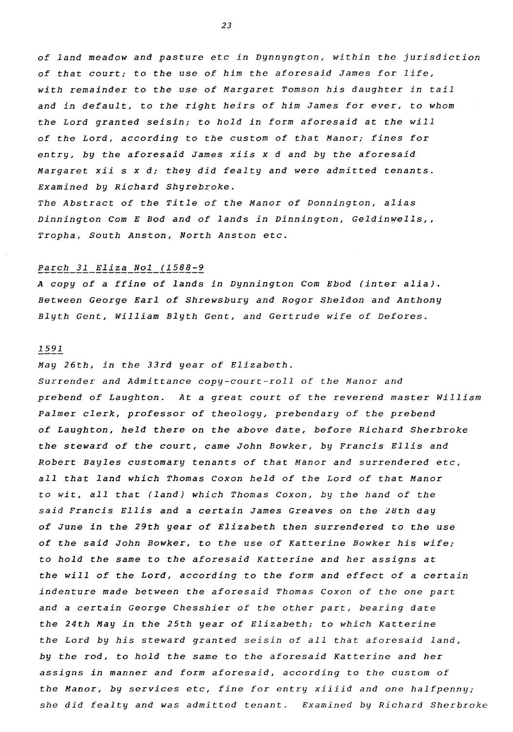*of land meadow and pasture etc in Dynnyngton, within the jurisdiction of that court; to the use of him the aforesaid James for life, with remainder to the use of Margaret Tomson his daughter in tail and in default, to the right heirs of him James for ever, to whom the Lord granted seisin; to hold in form aforesaid at the will of the Lord, according to the custom of that Manor; fines for entry, by the aforesaid James xiis x d and by the aforesaid Margaret xii s x d; they did fealty and were admitted tenants. Examined by Richard Shyrebroke.*

*The Abstract of the Title of the Manor of Donnington, alias* Dinnington Com E Bod and of lands in Dinnington, Geldinwells,, *Tropha, South Anston, North Anston etc.*

### Parch 31 Eliza Nol (1588-9

*A copy of a ffine of lands in Dynnington Com Ebod (inter alia). Between George Earl of Shrewsbury and Rogor Sheldon and Anthony Blyth Gent, William Blyth Gent, and Gertrude wife of Defores.*

### 1591

### May 26th, in the 33rd year of Elizabeth.

Surrender and Admittance copy-court-roll of the Manor and *prebend of Laughton. At a great court of the reverend master William Palmer clerk, professor of theology, prebendary of the prebend of Laughton, held there on the above date, before Richard Sherbroke the steward of the court, came John Bowker, by Francis Ellis and Robert Bayles customary tenants of that Manor and surrendered etc, all that land which Thomas Coxon held of the Lord of that Manor to wit, all that (land) which Thomas Coxon, by the hand of the said Francis Ellis and a certain James Greaves on the 28th day of June in the 29th* year *of Elizabeth then surrendered to the use of the said John Bowker, to the use of Katterine Bowker his wife; to hold the same to the aforesaid Katterine and her assigns at the will of the Lord, according to the form and effect of a certain indenture made between the aforesaid Thomas Coxon of the one part and a certain George Chesshier of the other part, bearing date the 24th May in the 25th year of Elizabeth; to which Katterine the Lord by his steward granted seisin of all that aforesaid land, by the rod, to hold the same to the aforesaid Katterine and her assigns in manner and form aforesaid, according to the custom of the Manor, by services etc, fine for entry xiiiid and one halfpenny; she did fealty and was admitted tenant. Examined by Richard Sherbroke*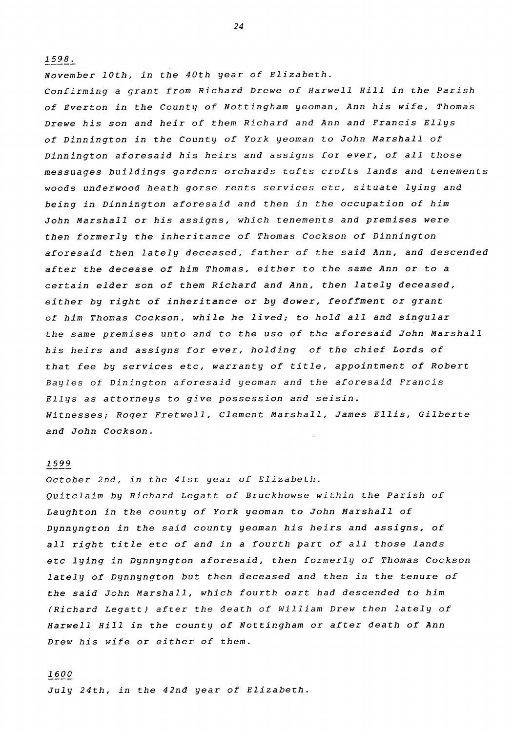November 10th, in the 40th year of Elizabeth. *Confirming a grant from Richard Drewe of Harwell Hill in the Parish of Everton in the County of Nottingham yeoman, Ann his wife, Thomas Drewe his son and heir of them Richard and Ann and Francis Ellys of Dinnington in the County of York yeoman to John Marshall of Dinnington aforesaid his heirs and assigns for ever, of all those messuages buildings gardens orchards tofts crofts lands and tenements woods underwood heath gorse rents services etc, situate lying and being in Dinnington aforesaid and then in the occupation of him John Marshall or his assigns, which tenements and premises were then formerly the inheritance of Thomas Cockson of Dinnington aforesaid then lately deceased, father of the said Ann, and descended after the decease of him Thomas, either to the same Ann or to a certain elder son of them Richard and Ann, then lately deceased, either by right of inheritance or by dower, feoffment or grant of him Thomas Cockson, while he lived; to hold all and singular the same premises unto and to the use of the aforesaid John Marshall his heirs and assigns for ever, holding of the chief Lords of that fee by services etc, warranty of title, appointment of Robert Bayles of Dinington aforesaid yeoman and the aforesaid Francis Ellys as attorneys to give possession and seisin. Witnesses; Roger Fretwell, Clement Marshall, James Ellis, Gilberte and John Cockson.*

### 1599

1598.

October 2nd, in the 41st year of Elizabeth. *Quitclaim by Richard Legatt of Bruckhowse within the Parish of Laughton in the county of York yeoman to John Marshall of Dynnyngton in the said county yeoman his heirs and assigns, of all right title etc of and in a fourth part of all those lands etc lying in Dynnyngton aforesaid, then formerly of Thomas Cockson lately of Dynnyngton but then deceased and then in the tenure of the said John Marshall, which fourth oart had descended to him (Richard Legatt) after the death of William Drew then lately of Harwell Hill in the county of Nottingham or after death of Ann Drew his wife or either of them.*

## 1600

July 24th, in the 42nd year of Elizabeth.